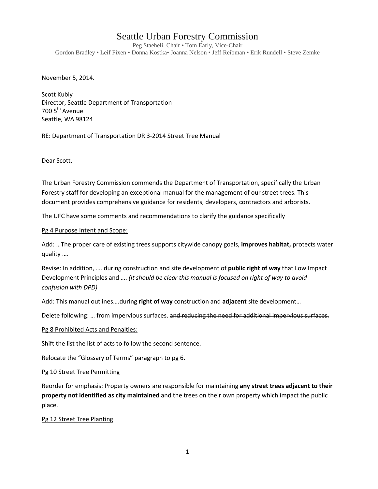# Seattle Urban Forestry Commission

Peg Staeheli, Chair • Tom Early, Vice-Chair Gordon Bradley • Leif Fixen • Donna Kostka• Joanna Nelson • Jeff Reibman • Erik Rundell • Steve Zemke

November 5, 2014.

Scott Kubly Director, Seattle Department of Transportation 700 5<sup>th</sup> Avenue Seattle, WA 98124

RE: Department of Transportation DR 3-2014 Street Tree Manual

Dear Scott,

The Urban Forestry Commission commends the Department of Transportation, specifically the Urban Forestry staff for developing an exceptional manual for the management of our street trees. This document provides comprehensive guidance for residents, developers, contractors and arborists.

The UFC have some comments and recommendations to clarify the guidance specifically

## Pg 4 Purpose Intent and Scope:

Add: …The proper care of existing trees supports citywide canopy goals, **improves habitat,** protects water quality ….

Revise: In addition, …. during construction and site development of **public right of way** that Low Impact Development Principles and …. *(it should be clear this manual is focused on right of way to avoid confusion with DPD)*

Add: This manual outlines….during **right of way** construction and **adjacent** site development…

Delete following: ... from impervious surfaces. and reducing the need for additional impervious surfaces.

#### Pg 8 Prohibited Acts and Penalties:

Shift the list the list of acts to follow the second sentence.

Relocate the "Glossary of Terms" paragraph to pg 6.

#### Pg 10 Street Tree Permitting

Reorder for emphasis: Property owners are responsible for maintaining **any street trees adjacent to their property not identified as city maintained** and the trees on their own property which impact the public place.

# Pg 12 Street Tree Planting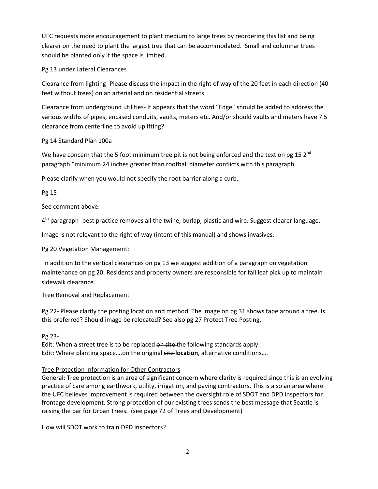UFC requests more encouragement to plant medium to large trees by reordering this list and being clearer on the need to plant the largest tree that can be accommodated. Small and columnar trees should be planted only if the space is limited.

# Pg 13 under Lateral Clearances

Clearance from lighting -Please discuss the impact in the right of way of the 20 feet in each direction (40 feet without trees) on an arterial and on residential streets.

Clearance from underground utilities- It appears that the word "Edge" should be added to address the various widths of pipes, encased conduits, vaults, meters etc. And/or should vaults and meters have 7.5 clearance from centerline to avoid uplifting?

# Pg 14 Standard Plan 100a

We have concern that the 5 foot minimum tree pit is not being enforced and the text on pg 15  $2^{nd}$ paragraph "minimum 24 inches greater than rootball diameter conflicts with this paragraph.

Please clarify when you would not specify the root barrier along a curb.

# Pg 15

See comment above.

 $4<sup>th</sup>$  paragraph- best practice removes all the twine, burlap, plastic and wire. Suggest clearer language.

Image is not relevant to the right of way (intent of this manual) and shows invasives.

# Pg 20 Vegetation Management:

In addition to the vertical clearances on pg 13 we suggest addition of a paragraph on vegetation maintenance on pg 20. Residents and property owners are responsible for fall leaf pick up to maintain sidewalk clearance.

# Tree Removal and Replacement

Pg 22- Please clarify the posting location and method. The image on pg 31 shows tape around a tree. Is this preferred? Should image be relocated? See also pg 27 Protect Tree Posting.

# Pg 23-

Edit: When a street tree is to be replaced on site the following standards apply: Edit: Where planting space….on the original site **location**, alternative conditions….

# Tree Protection Information for Other Contractors

General: Tree protection is an area of significant concern where clarity is required since this is an evolving practice of care among earthwork, utility, irrigation, and paving contractors. This is also an area where the UFC believes improvement is required between the oversight role of SDOT and DPD inspectors for frontage development. Strong protection of our existing trees sends the best message that Seattle is raising the bar for Urban Trees. (see page 72 of Trees and Development)

How will SDOT work to train DPD inspectors?